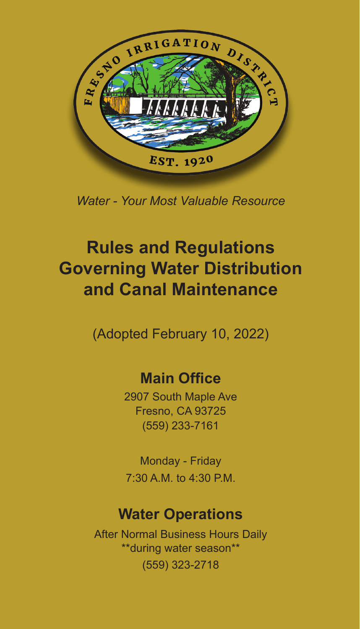

*Water - Your Most Valuable Resource* 

#### **Rules and Regulations Governing Water Distribution and Canal Maintenance**

(Adopted February 10, 2022)

#### **Main Office**

2907 South Maple Ave Fresno, CA 93725 (559) 233-7161

Monday - Friday 7:30 A.M. to 4:30 P.M.

#### **Water Operations**

After Normal Business Hours Daily \*\*during water season\*\* (559) 323-2718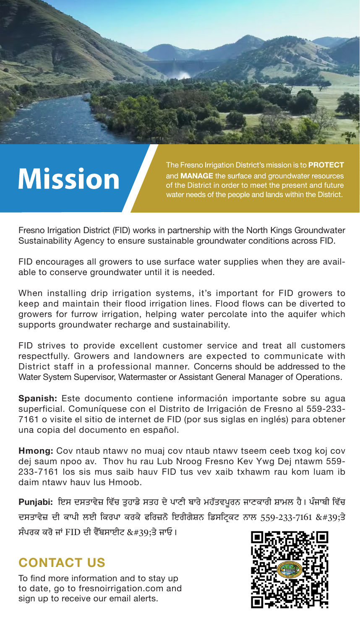# **Mission**

The Fresno Irrigation District's mission is to PROTECT and MANAGE the surface and groundwater resources water needs of the people and lands within the District.

Fresno Irrigation District (FID) works in partnership with the North Kings Groundwater Sustainability Agency to ensure sustainable groundwater conditions across FID.

FID encourages all growers to use surface water supplies when they are available to conserve groundwater until it is needed.

When installing drip irrigation systems, it's important for FID growers to keep and maintain their flood irrigation lines. Flood flows can be diverted to growers for furrow irrigation, helping water percolate into the aquifer which supports groundwater recharge and sustainability.

FID strives to provide excellent customer service and treat all customers respectfully. Growers and landowners are expected to communicate with District staff in a professional manner. Concerns should be addressed to the Water System Supervisor, Watermaster or Assistant General Manager of Operations.

**Spanish:** Este documento contiene información importante sobre su agua superficial. Comuníquese con el Distrito de Irrigación de Fresno al 559-233- 7161 o visite el sitio de internet de FID (por sus siglas en inglés) para obtener una copia del documento en español.

**Hmong:** Cov ntaub ntawv no muaj cov ntaub ntawv tseem ceeb txog koj cov dej saum npoo av. Thov hu rau Lub Nroog Fresno Kev Ywg Dej ntawm 559- 233-7161 los sis mus saib hauv FID tus vev xaib txhawm rau kom luam ib daim ntawv hauv lus Hmoob.

Punjabi: ਇਸ ਦਸਤਾਵੇਜ਼ ਵਿੱਚ ਤੁਹਾਡੇ ਸਤਹ ਦੇ ਪਾਣੀ ਬਾਰੇ ਮਹੱਤਵਪੂਰਨ ਜਾਣਕਾਰੀ ਸ਼ਾਮਲ ਹੈ। ਪੰਜਾਬੀ ਵਿੱਚ ਦਸਤਾਵੇਜ਼ ਦੀ ਕਾਪੀ ਲਈ ਕਿਰਪਾ ਕਰਕੇ ਫਰਿਜ਼ਨੋ ਇਰੀਗੇਸ਼ਨ ਡਿਸਟ੍ਰਿਕਟ ਨਾਲ 559-233-7161 'ਤੇ ਸੰਪਰਕ ਕਰੋ ਜਾਂ FID ਦੀ ਵੈੱਬਸਾਈਟ 'ਤੇ ਜਾਓ।

#### **CONTACT US**

To find more information and to stay up to date, go to fresnoirrigation.com and sign up to receive our email alerts.

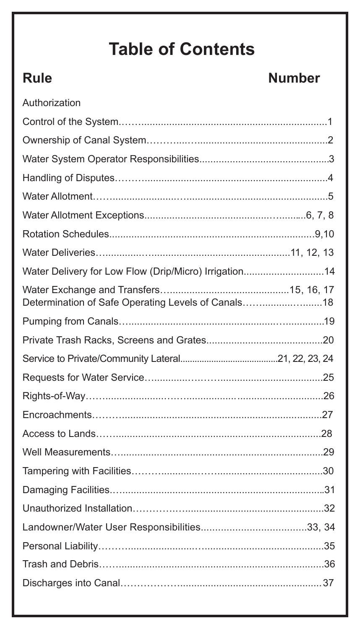## **Table of Contents**

#### **Rule Number**

| Authorization                                         |  |
|-------------------------------------------------------|--|
|                                                       |  |
|                                                       |  |
|                                                       |  |
|                                                       |  |
|                                                       |  |
|                                                       |  |
|                                                       |  |
|                                                       |  |
| Water Delivery for Low Flow (Drip/Micro) Irrigation14 |  |
| Determination of Safe Operating Levels of Canals18    |  |
|                                                       |  |
|                                                       |  |
|                                                       |  |
|                                                       |  |
|                                                       |  |
|                                                       |  |
|                                                       |  |
|                                                       |  |
|                                                       |  |
|                                                       |  |
|                                                       |  |
|                                                       |  |
|                                                       |  |
|                                                       |  |
|                                                       |  |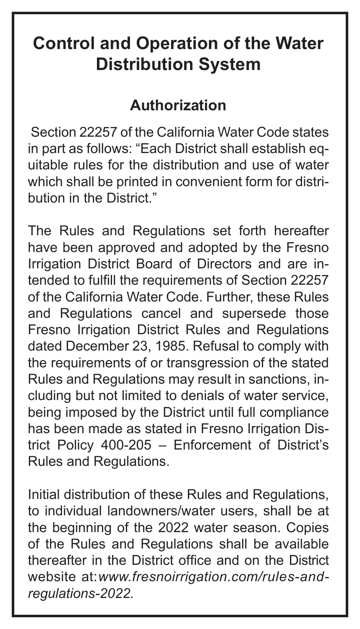### **Control and Operation of the Water Distribution System**

#### **Authorization**

Section 22257 of the California Water Code states in part as follows: "Each District shall establish equitable rules for the distribution and use of water which shall be printed in convenient form for distribution in the District."

The Rules and Regulations set forth hereafter have been approved and adopted by the Fresno Irrigation District Board of Directors and are intended to fulfill the requirements of Section 22257 of the California Water Code. Further, these Rules and Regulations cancel and supersede those Fresno Irrigation District Rules and Regulations dated December 23, 1985. Refusal to comply with the requirements of or transgression of the stated Rules and Regulations may result in sanctions, including but not limited to denials of water service, being imposed by the District until full compliance has been made as stated in Fresno Irrigation District Policy 400-205 – Enforcement of District's Rules and Regulations.

Initial distribution of these Rules and Regulations, to individual landowners/water users, shall be at the beginning of the 2022 water season. Copies of the Rules and Regulations shall be available thereafter in the District office and on the District website at: *www.fresnoirrigation.com/rules-andregulations-2022.*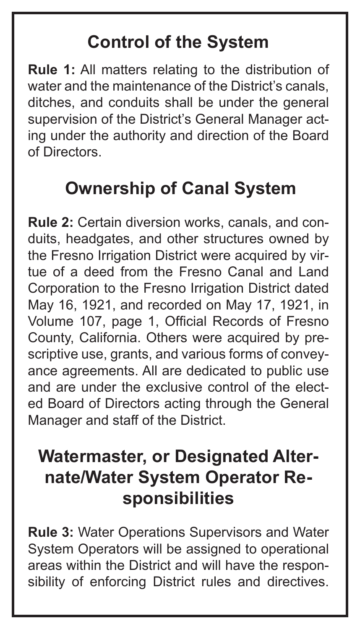## **Control of the System**

**Rule 1:** All matters relating to the distribution of water and the maintenance of the District's canals, ditches, and conduits shall be under the general supervision of the District's General Manager acting under the authority and direction of the Board of Directors.

#### **Ownership of Canal System**

**Rule 2:** Certain diversion works, canals, and conduits, headgates, and other structures owned by the Fresno Irrigation District were acquired by virtue of a deed from the Fresno Canal and Land Corporation to the Fresno Irrigation District dated May 16, 1921, and recorded on May 17, 1921, in Volume 107, page 1, Official Records of Fresno County, California. Others were acquired by prescriptive use, grants, and various forms of conveyance agreements. All are dedicated to public use and are under the exclusive control of the elected Board of Directors acting through the General Manager and staff of the District.

#### **Watermaster, or Designated Alternate/Water System Operator Responsibilities**

**Rule 3:** Water Operations Supervisors and Water System Operators will be assigned to operational areas within the District and will have the responsibility of enforcing District rules and directives.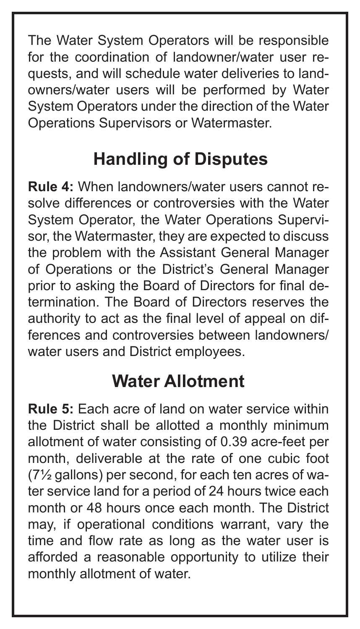The Water System Operators will be responsible for the coordination of landowner/water user requests, and will schedule water deliveries to landowners/water users will be performed by Water System Operators under the direction of the Water Operations Supervisors or Watermaster.

## **Handling of Disputes**

**Rule 4:** When landowners/water users cannot resolve differences or controversies with the Water System Operator, the Water Operations Supervisor, the Watermaster, they are expected to discuss the problem with the Assistant General Manager of Operations or the District's General Manager prior to asking the Board of Directors for final determination. The Board of Directors reserves the authority to act as the final level of appeal on differences and controversies between landowners/ water users and District employees.

## **Water Allotment**

**Rule 5:** Each acre of land on water service within the District shall be allotted a monthly minimum allotment of water consisting of 0.39 acre-feet per month, deliverable at the rate of one cubic foot (7½ gallons) per second, for each ten acres of water service land for a period of 24 hours twice each month or 48 hours once each month. The District may, if operational conditions warrant, vary the time and flow rate as long as the water user is afforded a reasonable opportunity to utilize their monthly allotment of water.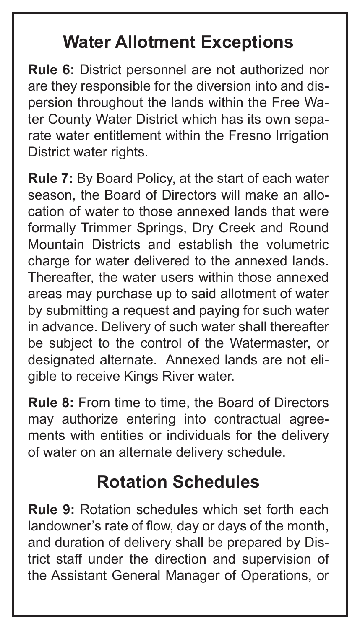### **Water Allotment Exceptions**

**Rule 6:** District personnel are not authorized nor are they responsible for the diversion into and dispersion throughout the lands within the Free Water County Water District which has its own separate water entitlement within the Fresno Irrigation District water rights.

**Rule 7:** By Board Policy, at the start of each water season, the Board of Directors will make an allocation of water to those annexed lands that were formally Trimmer Springs, Dry Creek and Round Mountain Districts and establish the volumetric charge for water delivered to the annexed lands. Thereafter, the water users within those annexed areas may purchase up to said allotment of water by submitting a request and paying for such water in advance. Delivery of such water shall thereafter be subject to the control of the Watermaster, or designated alternate. Annexed lands are not eligible to receive Kings River water.

**Rule 8:** From time to time, the Board of Directors may authorize entering into contractual agreements with entities or individuals for the delivery of water on an alternate delivery schedule.

## **Rotation Schedules**

**Rule 9:** Rotation schedules which set forth each landowner's rate of flow, day or days of the month, and duration of delivery shall be prepared by District staff under the direction and supervision of the Assistant General Manager of Operations, or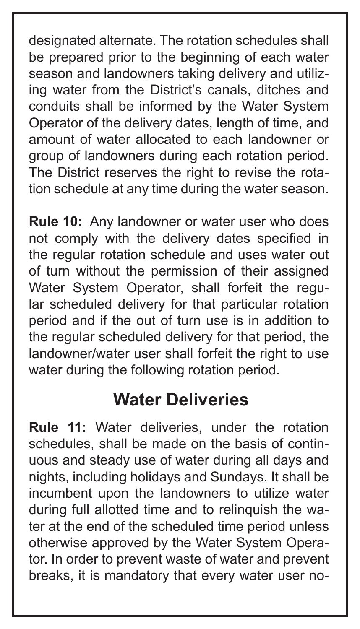designated alternate. The rotation schedules shall be prepared prior to the beginning of each water season and landowners taking delivery and utilizing water from the District's canals, ditches and conduits shall be informed by the Water System Operator of the delivery dates, length of time, and amount of water allocated to each landowner or group of landowners during each rotation period. The District reserves the right to revise the rotation schedule at any time during the water season.

**Rule 10:** Any landowner or water user who does not comply with the delivery dates specified in the regular rotation schedule and uses water out of turn without the permission of their assigned Water System Operator, shall forfeit the regular scheduled delivery for that particular rotation period and if the out of turn use is in addition to the regular scheduled delivery for that period, the landowner/water user shall forfeit the right to use water during the following rotation period.

#### **Water Deliveries**

**Rule 11:** Water deliveries, under the rotation schedules, shall be made on the basis of continuous and steady use of water during all days and nights, including holidays and Sundays. It shall be incumbent upon the landowners to utilize water during full allotted time and to relinquish the water at the end of the scheduled time period unless otherwise approved by the Water System Operator. In order to prevent waste of water and prevent breaks, it is mandatory that every water user no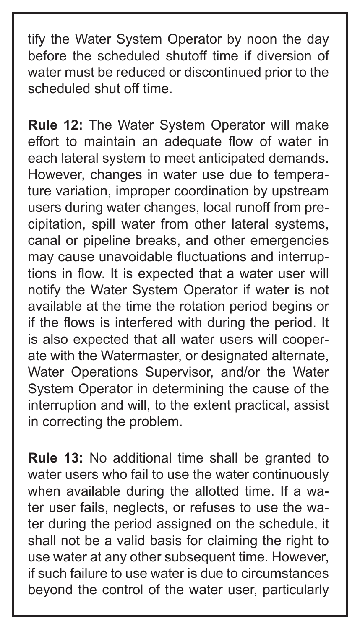tify the Water System Operator by noon the day before the scheduled shutoff time if diversion of water must be reduced or discontinued prior to the scheduled shut off time.

**Rule 12:** The Water System Operator will make effort to maintain an adequate flow of water in each lateral system to meet anticipated demands. However, changes in water use due to temperature variation, improper coordination by upstream users during water changes, local runoff from precipitation, spill water from other lateral systems, canal or pipeline breaks, and other emergencies may cause unavoidable fluctuations and interruptions in flow. It is expected that a water user will notify the Water System Operator if water is not available at the time the rotation period begins or if the flows is interfered with during the period. It is also expected that all water users will cooperate with the Watermaster, or designated alternate, Water Operations Supervisor, and/or the Water System Operator in determining the cause of the interruption and will, to the extent practical, assist in correcting the problem.

**Rule 13:** No additional time shall be granted to water users who fail to use the water continuously when available during the allotted time. If a water user fails, neglects, or refuses to use the water during the period assigned on the schedule, it shall not be a valid basis for claiming the right to use water at any other subsequent time. However, if such failure to use water is due to circumstances beyond the control of the water user, particularly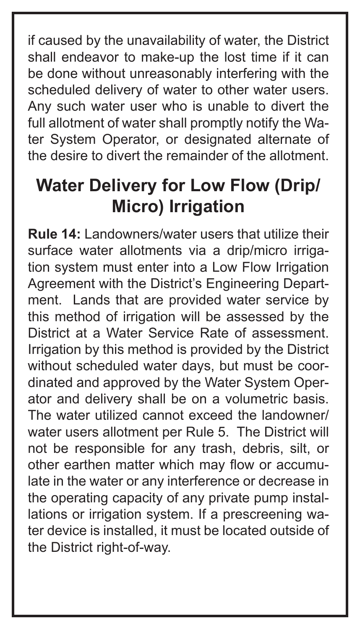if caused by the unavailability of water, the District shall endeavor to make-up the lost time if it can be done without unreasonably interfering with the scheduled delivery of water to other water users. Any such water user who is unable to divert the full allotment of water shall promptly notify the Water System Operator, or designated alternate of the desire to divert the remainder of the allotment.

## **Water Delivery for Low Flow (Drip/ Micro) Irrigation**

**Rule 14:** Landowners/water users that utilize their surface water allotments via a drip/micro irrigation system must enter into a Low Flow Irrigation Agreement with the District's Engineering Department. Lands that are provided water service by this method of irrigation will be assessed by the District at a Water Service Rate of assessment. Irrigation by this method is provided by the District without scheduled water days, but must be coordinated and approved by the Water System Operator and delivery shall be on a volumetric basis. The water utilized cannot exceed the landowner/ water users allotment per Rule 5. The District will not be responsible for any trash, debris, silt, or other earthen matter which may flow or accumulate in the water or any interference or decrease in the operating capacity of any private pump installations or irrigation system. If a prescreening water device is installed, it must be located outside of the District right-of-way.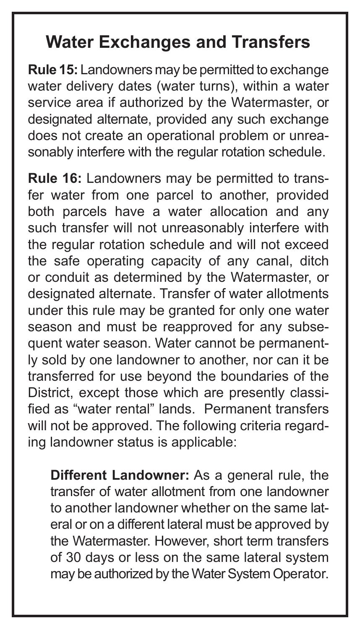#### **Water Exchanges and Transfers**

**Rule 15:** Landowners may be permitted to exchange water delivery dates (water turns), within a water service area if authorized by the Watermaster, or designated alternate, provided any such exchange does not create an operational problem or unreasonably interfere with the regular rotation schedule.

**Rule 16:** Landowners may be permitted to transfer water from one parcel to another, provided both parcels have a water allocation and any such transfer will not unreasonably interfere with the regular rotation schedule and will not exceed the safe operating capacity of any canal, ditch or conduit as determined by the Watermaster, or designated alternate. Transfer of water allotments under this rule may be granted for only one water season and must be reapproved for any subsequent water season. Water cannot be permanently sold by one landowner to another, nor can it be transferred for use beyond the boundaries of the District, except those which are presently classified as "water rental" lands. Permanent transfers will not be approved. The following criteria regarding landowner status is applicable:

**Different Landowner:** As a general rule, the transfer of water allotment from one landowner to another landowner whether on the same lateral or on a different lateral must be approved by the Watermaster. However, short term transfers of 30 days or less on the same lateral system may be authorized by the Water System Operator.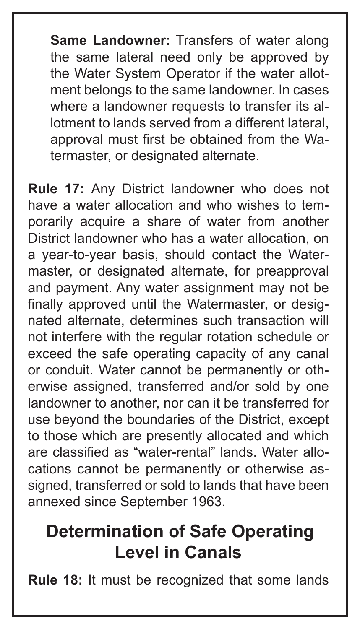**Same Landowner:** Transfers of water along the same lateral need only be approved by the Water System Operator if the water allotment belongs to the same landowner. In cases where a landowner requests to transfer its allotment to lands served from a different lateral, approval must first be obtained from the Watermaster, or designated alternate.

**Rule 17:** Any District landowner who does not have a water allocation and who wishes to temporarily acquire a share of water from another District landowner who has a water allocation, on a year-to-year basis, should contact the Watermaster, or designated alternate, for preapproval and payment. Any water assignment may not be finally approved until the Watermaster, or designated alternate, determines such transaction will not interfere with the regular rotation schedule or exceed the safe operating capacity of any canal or conduit. Water cannot be permanently or otherwise assigned, transferred and/or sold by one landowner to another, nor can it be transferred for use beyond the boundaries of the District, except to those which are presently allocated and which are classified as "water-rental" lands. Water allocations cannot be permanently or otherwise assigned, transferred or sold to lands that have been annexed since September 1963.

#### **Determination of Safe Operating Level in Canals**

**Rule 18:** It must be recognized that some lands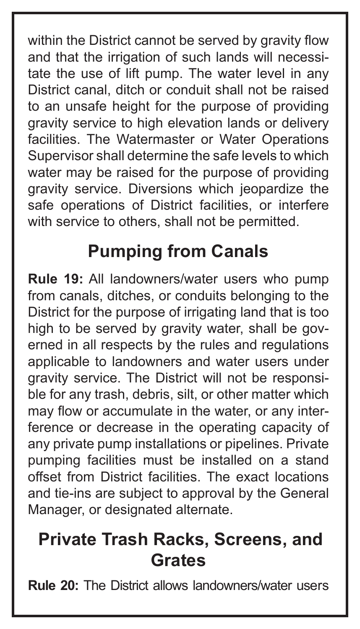within the District cannot be served by gravity flow and that the irrigation of such lands will necessitate the use of lift pump. The water level in any District canal, ditch or conduit shall not be raised to an unsafe height for the purpose of providing gravity service to high elevation lands or delivery facilities. The Watermaster or Water Operations Supervisor shall determine the safe levels to which water may be raised for the purpose of providing gravity service. Diversions which jeopardize the safe operations of District facilities, or interfere with service to others, shall not be permitted.

## **Pumping from Canals**

**Rule 19:** All landowners/water users who pump from canals, ditches, or conduits belonging to the District for the purpose of irrigating land that is too high to be served by gravity water, shall be governed in all respects by the rules and regulations applicable to landowners and water users under gravity service. The District will not be responsible for any trash, debris, silt, or other matter which may flow or accumulate in the water, or any interference or decrease in the operating capacity of any private pump installations or pipelines. Private pumping facilities must be installed on a stand offset from District facilities. The exact locations and tie-ins are subject to approval by the General Manager, or designated alternate.

#### **Private Trash Racks, Screens, and Grates**

**Rule 20:** The District allows landowners/water users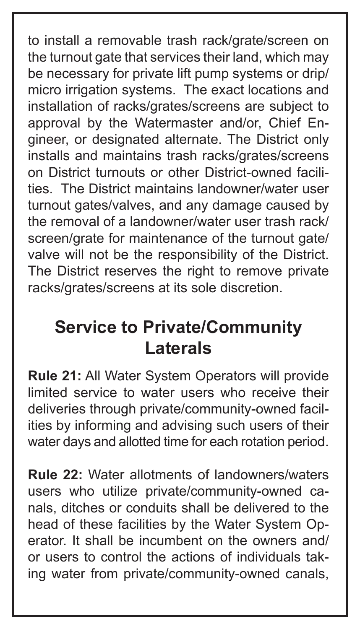to install a removable trash rack/grate/screen on the turnout gate that services their land, which may be necessary for private lift pump systems or drip/ micro irrigation systems. The exact locations and installation of racks/grates/screens are subject to approval by the Watermaster and/or, Chief Engineer, or designated alternate. The District only installs and maintains trash racks/grates/screens on District turnouts or other District-owned facilities. The District maintains landowner/water user turnout gates/valves, and any damage caused by the removal of a landowner/water user trash rack/ screen/grate for maintenance of the turnout gate/ valve will not be the responsibility of the District. The District reserves the right to remove private racks/grates/screens at its sole discretion.

#### **Service to Private/Community Laterals**

**Rule 21:** All Water System Operators will provide limited service to water users who receive their deliveries through private/community-owned facilities by informing and advising such users of their water days and allotted time for each rotation period.

**Rule 22:** Water allotments of landowners/waters users who utilize private/community-owned canals, ditches or conduits shall be delivered to the head of these facilities by the Water System Operator. It shall be incumbent on the owners and/ or users to control the actions of individuals taking water from private/community-owned canals,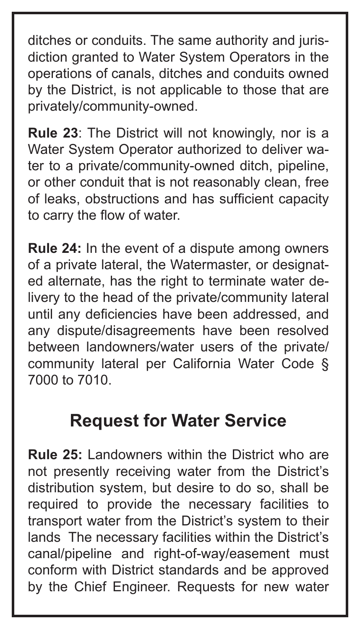ditches or conduits. The same authority and jurisdiction granted to Water System Operators in the operations of canals, ditches and conduits owned by the District, is not applicable to those that are privately/community-owned.

**Rule 23**: The District will not knowingly, nor is a Water System Operator authorized to deliver water to a private/community-owned ditch, pipeline, or other conduit that is not reasonably clean, free of leaks, obstructions and has sufficient capacity to carry the flow of water.

**Rule 24:** In the event of a dispute among owners of a private lateral, the Watermaster, or designated alternate, has the right to terminate water delivery to the head of the private/community lateral until any deficiencies have been addressed, and any dispute/disagreements have been resolved between landowners/water users of the private/ community lateral per California Water Code § 7000 to 7010.

#### **Request for Water Service**

**Rule 25:** Landowners within the District who are not presently receiving water from the District's distribution system, but desire to do so, shall be required to provide the necessary facilities to transport water from the District's system to their lands The necessary facilities within the District's canal/pipeline and right-of-way/easement must conform with District standards and be approved by the Chief Engineer. Requests for new water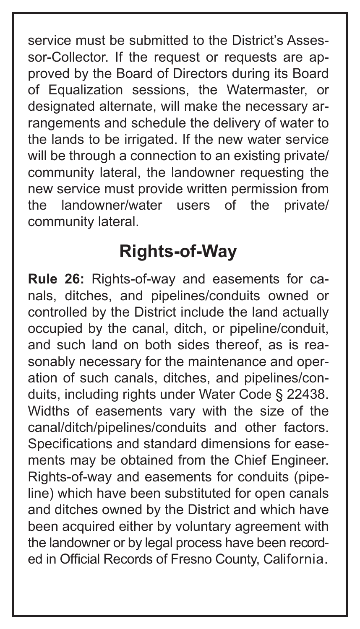service must be submitted to the District's Assessor-Collector. If the request or requests are approved by the Board of Directors during its Board of Equalization sessions, the Watermaster, or designated alternate, will make the necessary arrangements and schedule the delivery of water to the lands to be irrigated. If the new water service will be through a connection to an existing private/ community lateral, the landowner requesting the new service must provide written permission from<br>the landowner/water users of the private/ the landowner/water users of the private/ community lateral.

#### **Rights-of-Way**

**Rule 26:** Rights-of-way and easements for canals, ditches, and pipelines/conduits owned or controlled by the District include the land actually occupied by the canal, ditch, or pipeline/conduit, and such land on both sides thereof, as is reasonably necessary for the maintenance and operation of such canals, ditches, and pipelines/conduits, including rights under Water Code § 22438. Widths of easements vary with the size of the canal/ditch/pipelines/conduits and other factors. Specifications and standard dimensions for easements may be obtained from the Chief Engineer. Rights-of-way and easements for conduits (pipeline) which have been substituted for open canals and ditches owned by the District and which have been acquired either by voluntary agreement with the landowner or by legal process have been recorded in Official Records of Fresno County, California.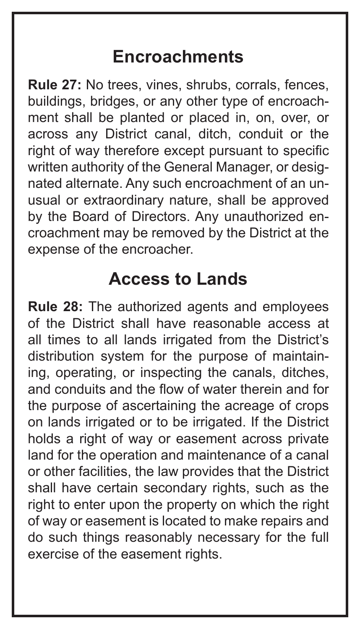#### **Encroachments**

**Rule 27:** No trees, vines, shrubs, corrals, fences, buildings, bridges, or any other type of encroachment shall be planted or placed in, on, over, or across any District canal, ditch, conduit or the right of way therefore except pursuant to specific written authority of the General Manager, or designated alternate. Any such encroachment of an unusual or extraordinary nature, shall be approved by the Board of Directors. Any unauthorized encroachment may be removed by the District at the expense of the encroacher.

#### **Access to Lands**

**Rule 28:** The authorized agents and employees of the District shall have reasonable access at all times to all lands irrigated from the District's distribution system for the purpose of maintaining, operating, or inspecting the canals, ditches, and conduits and the flow of water therein and for the purpose of ascertaining the acreage of crops on lands irrigated or to be irrigated. If the District holds a right of way or easement across private land for the operation and maintenance of a canal or other facilities, the law provides that the District shall have certain secondary rights, such as the right to enter upon the property on which the right of way or easement is located to make repairs and do such things reasonably necessary for the full exercise of the easement rights.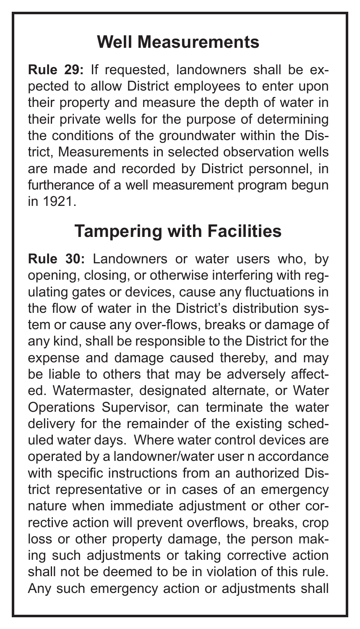#### **Well Measurements**

**Rule 29:** If requested, landowners shall be expected to allow District employees to enter upon their property and measure the depth of water in their private wells for the purpose of determining the conditions of the groundwater within the District, Measurements in selected observation wells are made and recorded by District personnel, in furtherance of a well measurement program begun in 1921.

#### **Tampering with Facilities**

**Rule 30:** Landowners or water users who, by opening, closing, or otherwise interfering with regulating gates or devices, cause any fluctuations in the flow of water in the District's distribution system or cause any over-flows, breaks or damage of any kind, shall be responsible to the District for the expense and damage caused thereby, and may be liable to others that may be adversely affected. Watermaster, designated alternate, or Water Operations Supervisor, can terminate the water delivery for the remainder of the existing scheduled water days. Where water control devices are operated by a landowner/water user n accordance with specific instructions from an authorized District representative or in cases of an emergency nature when immediate adjustment or other corrective action will prevent overflows, breaks, crop loss or other property damage, the person making such adjustments or taking corrective action shall not be deemed to be in violation of this rule. Any such emergency action or adjustments shall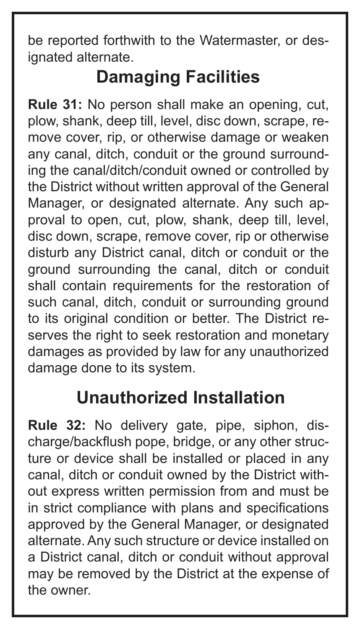be reported forthwith to the Watermaster, or designated alternate.

## **Damaging Facilities**

**Rule 31:** No person shall make an opening, cut, plow, shank, deep till, level, disc down, scrape, remove cover, rip, or otherwise damage or weaken any canal, ditch, conduit or the ground surrounding the canal/ditch/conduit owned or controlled by the District without written approval of the General Manager, or designated alternate. Any such approval to open, cut, plow, shank, deep till, level, disc down, scrape, remove cover, rip or otherwise disturb any District canal, ditch or conduit or the ground surrounding the canal, ditch or conduit shall contain requirements for the restoration of such canal, ditch, conduit or surrounding ground to its original condition or better. The District reserves the right to seek restoration and monetary damages as provided by law for any unauthorized damage done to its system.

#### **Unauthorized Installation**

**Rule 32:** No delivery gate, pipe, siphon, discharge/backflush pope, bridge, or any other structure or device shall be installed or placed in any canal, ditch or conduit owned by the District without express written permission from and must be in strict compliance with plans and specifications approved by the General Manager, or designated alternate. Any such structure or device installed on a District canal, ditch or conduit without approval may be removed by the District at the expense of the owner.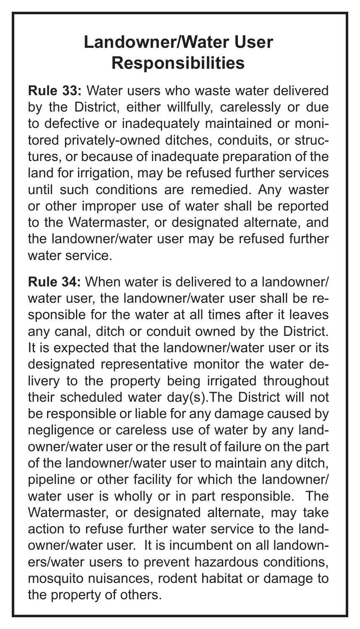### **Landowner/Water User Responsibilities**

**Rule 33:** Water users who waste water delivered by the District, either willfully, carelessly or due to defective or inadequately maintained or monitored privately-owned ditches, conduits, or structures, or because of inadequate preparation of the land for irrigation, may be refused further services until such conditions are remedied. Any waster or other improper use of water shall be reported to the Watermaster, or designated alternate, and the landowner/water user may be refused further water service.

**Rule 34:** When water is delivered to a landowner/ water user, the landowner/water user shall be responsible for the water at all times after it leaves any canal, ditch or conduit owned by the District. It is expected that the landowner/water user or its designated representative monitor the water delivery to the property being irrigated throughout their scheduled water day(s).The District will not be responsible or liable for any damage caused by negligence or careless use of water by any landowner/water user or the result of failure on the part of the landowner/water user to maintain any ditch, pipeline or other facility for which the landowner/ water user is wholly or in part responsible. The Watermaster, or designated alternate, may take action to refuse further water service to the landowner/water user. It is incumbent on all landowners/water users to prevent hazardous conditions, mosquito nuisances, rodent habitat or damage to the property of others.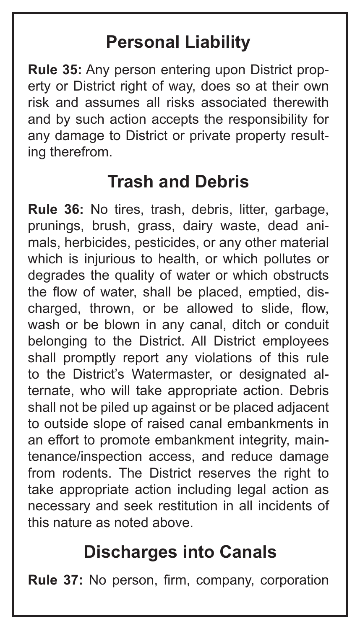#### **Personal Liability**

**Rule 35:** Any person entering upon District property or District right of way, does so at their own risk and assumes all risks associated therewith and by such action accepts the responsibility for any damage to District or private property resulting therefrom.

#### **Trash and Debris**

**Rule 36:** No tires, trash, debris, litter, garbage, prunings, brush, grass, dairy waste, dead animals, herbicides, pesticides, or any other material which is injurious to health, or which pollutes or degrades the quality of water or which obstructs the flow of water, shall be placed, emptied, discharged, thrown, or be allowed to slide, flow, wash or be blown in any canal, ditch or conduit belonging to the District. All District employees shall promptly report any violations of this rule to the District's Watermaster, or designated alternate, who will take appropriate action. Debris shall not be piled up against or be placed adjacent to outside slope of raised canal embankments in an effort to promote embankment integrity, maintenance/inspection access, and reduce damage from rodents. The District reserves the right to take appropriate action including legal action as necessary and seek restitution in all incidents of this nature as noted above.

#### **Discharges into Canals**

**Rule 37:** No person, firm, company, corporation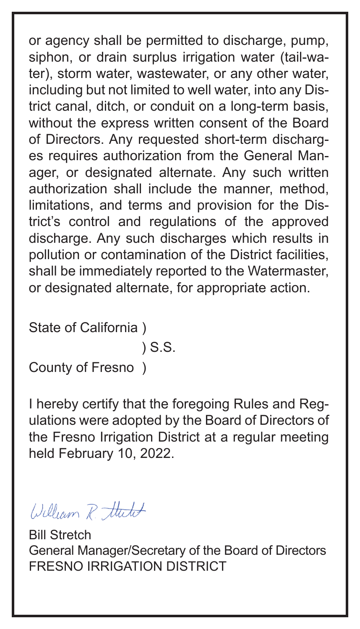or agency shall be permitted to discharge, pump, siphon, or drain surplus irrigation water (tail-water), storm water, wastewater, or any other water, including but not limited to well water, into any District canal, ditch, or conduit on a long-term basis, without the express written consent of the Board of Directors. Any requested short-term discharges requires authorization from the General Manager, or designated alternate. Any such written authorization shall include the manner, method, limitations, and terms and provision for the District's control and regulations of the approved discharge. Any such discharges which results in pollution or contamination of the District facilities, shall be immediately reported to the Watermaster, or designated alternate, for appropriate action.

State of California )

) S.S.

County of Fresno )

I hereby certify that the foregoing Rules and Regulations were adopted by the Board of Directors of the Fresno Irrigation District at a regular meeting held February 10, 2022.

William R. thirt

Bill Stretch General Manager/Secretary of the Board of Directors FRESNO IRRIGATION DISTRICT